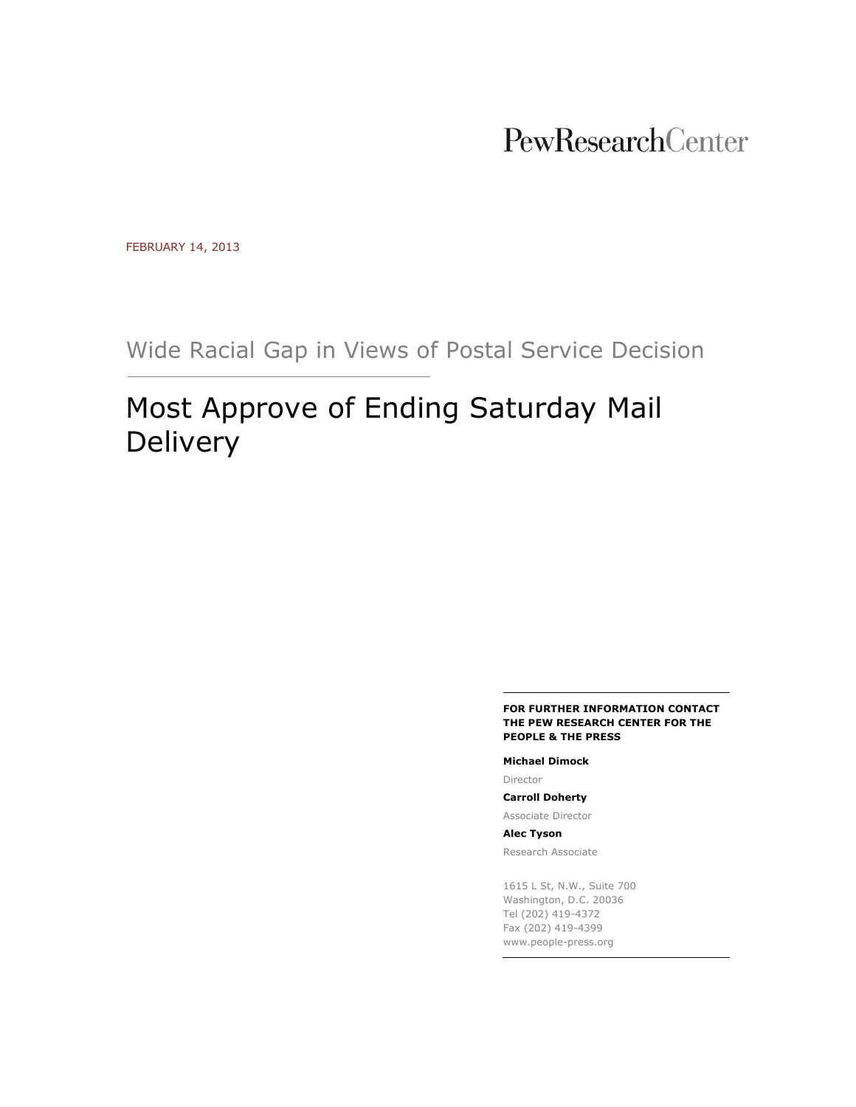## PewResearchCenter

FEBRUARY 14, 2013

Wide Racial Gap in Views of Postal Service Decision

# Most Approve of Ending Saturday Mail Delivery

#### **FOR FURTHER INFORMATION CONTACT THE PEW RESEARCH CENTER FOR THE PEOPLE & THE PRESS**

**Michael Dimock**

Director

**Carroll Doherty** Associate Director

**Alec Tyson** Research Associate

1615 L St, N.W., Suite 700 Washington, D.C. 20036 Tel (202) 419-4372 Fax (202) 419-4399 www.people-press.org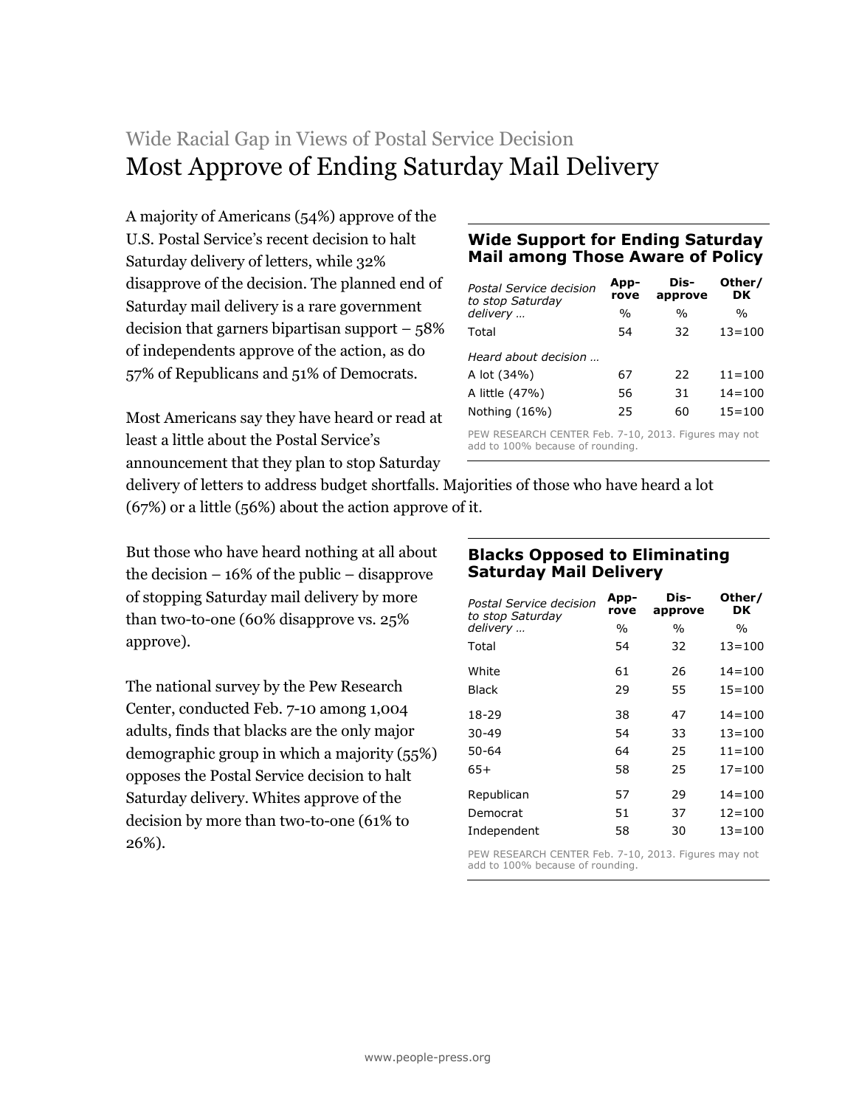## Wide Racial Gap in Views of Postal Service Decision Most Approve of Ending Saturday Mail Delivery

A majority of Americans (54%) approve of the U.S. Postal Service's recent decision to halt Saturday delivery of letters, while 32% disapprove of the decision. The planned end of Saturday mail delivery is a rare government decision that garners bipartisan support – 58% of independents approve of the action, as do 57% of Republicans and 51% of Democrats.

Most Americans say they have heard or read at least a little about the Postal Service's announcement that they plan to stop Saturday

## **Wide Support for Ending Saturday Mail among Those Aware of Policy**

| Postal Service decision<br>to stop Saturday                                              | App-<br>rove | Dis-<br>approve | Other/<br>DK |
|------------------------------------------------------------------------------------------|--------------|-----------------|--------------|
| delivery                                                                                 | $\%$         | $\frac{0}{0}$   | $\%$         |
| Total                                                                                    | 54           | 32              | $13 = 100$   |
| Heard about decision                                                                     |              |                 |              |
| A lot (34%)                                                                              | 67           | 22              | $11 = 100$   |
| A little (47%)                                                                           | 56           | 31              | $14 = 100$   |
| Nothing (16%)                                                                            | 25           | 60              | $15 = 100$   |
| PEW RESEARCH CENTER Feb. 7-10, 2013. Figures may not<br>add to 100% because of rounding. |              |                 |              |

delivery of letters to address budget shortfalls. Majorities of those who have heard a lot (67%) or a little (56%) about the action approve of it.

But those who have heard nothing at all about the decision – 16% of the public – disapprove of stopping Saturday mail delivery by more than two-to-one (60% disapprove vs. 25% approve).

The national survey by the Pew Research Center, conducted Feb. 7-10 among 1,004 adults, finds that blacks are the only major demographic group in which a majority (55%) opposes the Postal Service decision to halt Saturday delivery. Whites approve of the decision by more than two-to-one (61% to 26%).

## **Blacks Opposed to Eliminating Saturday Mail Delivery**

| Postal Service decision<br>to stop Saturday | App-<br>rove | Dis-<br>approve | Other/<br>DK |
|---------------------------------------------|--------------|-----------------|--------------|
| delivery                                    | $\%$         | $\frac{0}{0}$   | %            |
| Total                                       | 54           | 32              | $13 = 100$   |
| White                                       | 61           | 26              | $14 = 100$   |
| <b>Black</b>                                | 29           | 55              | $15 = 100$   |
| 18-29                                       | 38           | 47              | $14 = 100$   |
| $30 - 49$                                   | 54           | 33              | $13 = 100$   |
| 50-64                                       | 64           | 25              | $11 = 100$   |
| 65+                                         | 58           | 25              | $17 = 100$   |
| Republican                                  | 57           | 29              | $14 = 100$   |
| Democrat                                    | 51           | 37              | $12 = 100$   |
| Independent                                 | 58           | 30              | $13 = 100$   |

PEW RESEARCH CENTER Feb. 7-10, 2013. Figures may not add to 100% because of rounding.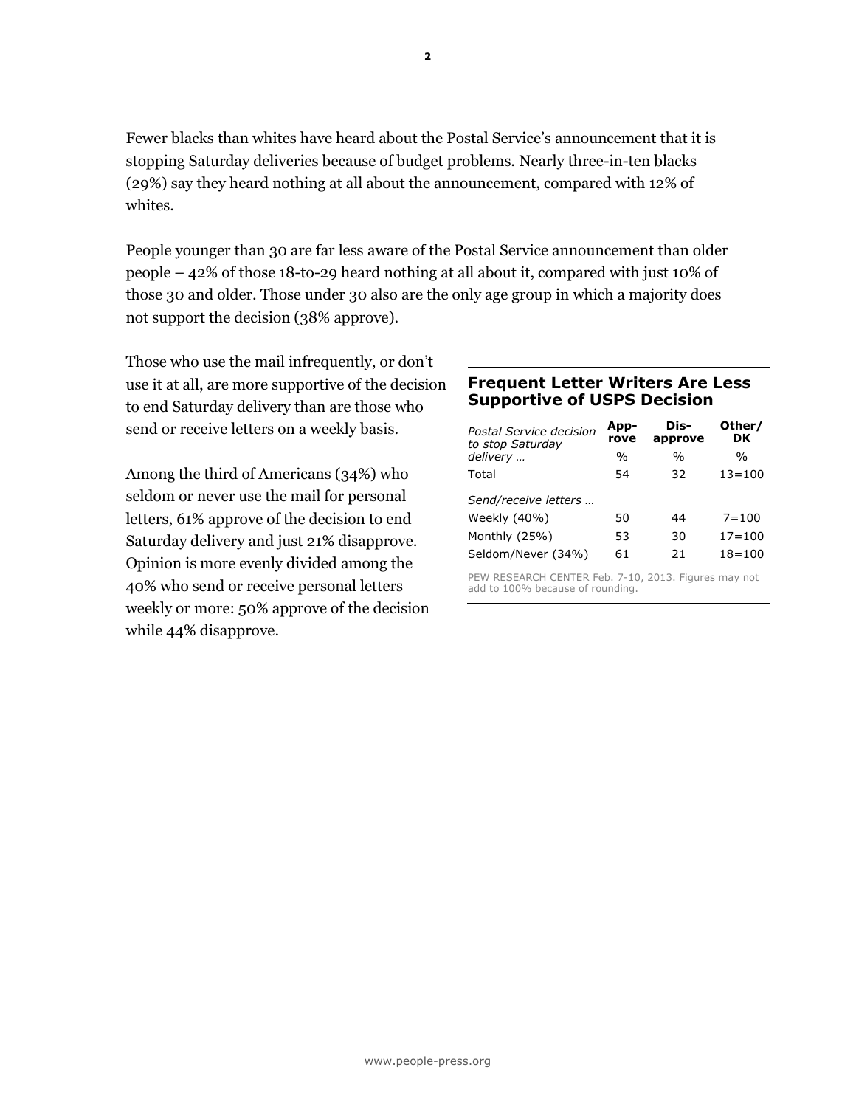Fewer blacks than whites have heard about the Postal Service's announcement that it is stopping Saturday deliveries because of budget problems. Nearly three-in-ten blacks (29%) say they heard nothing at all about the announcement, compared with 12% of whites.

People younger than 30 are far less aware of the Postal Service announcement than older people – 42% of those 18-to-29 heard nothing at all about it, compared with just 10% of those 30 and older. Those under 30 also are the only age group in which a majority does not support the decision (38% approve).

Those who use the mail infrequently, or don't use it at all, are more supportive of the decision to end Saturday delivery than are those who send or receive letters on a weekly basis.

Among the third of Americans (34%) who seldom or never use the mail for personal letters, 61% approve of the decision to end Saturday delivery and just 21% disapprove. Opinion is more evenly divided among the 40% who send or receive personal letters weekly or more: 50% approve of the decision while 44% disapprove.

### **Frequent Letter Writers Are Less Supportive of USPS Decision**

| Postal Service decision<br>to stop Saturday | App-<br>rove  | Dis-<br>approve | Other/<br>DK  |
|---------------------------------------------|---------------|-----------------|---------------|
| delivery                                    | $\frac{0}{0}$ | $\frac{0}{0}$   | $\frac{0}{0}$ |
| Total                                       | 54            | 32              | $13 = 100$    |
| Send/receive letters                        |               |                 |               |
| Weekly (40%)                                | 50            | 44              | $7 = 100$     |
| Monthly (25%)                               | 53            | 30              | $17 = 100$    |
| Seldom/Never (34%)                          | 61            | 21              | $18 = 100$    |

PEW RESEARCH CENTER Feb. 7-10, 2013. Figures may not add to 100% because of rounding.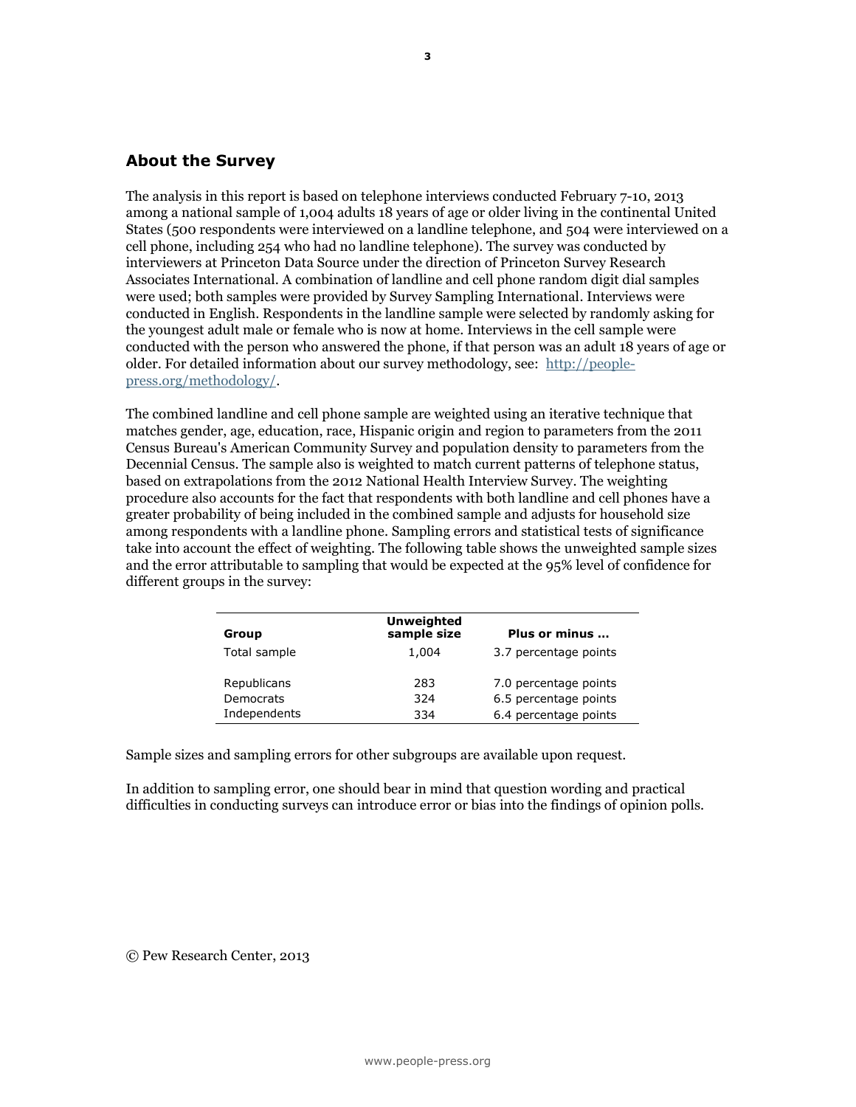### **About the Survey**

The analysis in this report is based on telephone interviews conducted February 7-10, 2013 among a national sample of 1,004 adults 18 years of age or older living in the continental United States (500 respondents were interviewed on a landline telephone, and 504 were interviewed on a cell phone, including 254 who had no landline telephone). The survey was conducted by interviewers at Princeton Data Source under the direction of Princeton Survey Research Associates International. A combination of landline and cell phone random digit dial samples were used; both samples were provided by Survey Sampling International. Interviews were conducted in English. Respondents in the landline sample were selected by randomly asking for the youngest adult male or female who is now at home. Interviews in the cell sample were conducted with the person who answered the phone, if that person was an adult 18 years of age or older. For detailed information about our survey methodology, see: [http://people](http://people-press.org/methodology/)[press.org/methodology/.](http://people-press.org/methodology/)

The combined landline and cell phone sample are weighted using an iterative technique that matches gender, age, education, race, Hispanic origin and region to parameters from the 2011 Census Bureau's American Community Survey and population density to parameters from the Decennial Census. The sample also is weighted to match current patterns of telephone status, based on extrapolations from the 2012 National Health Interview Survey. The weighting procedure also accounts for the fact that respondents with both landline and cell phones have a greater probability of being included in the combined sample and adjusts for household size among respondents with a landline phone. Sampling errors and statistical tests of significance take into account the effect of weighting. The following table shows the unweighted sample sizes and the error attributable to sampling that would be expected at the 95% level of confidence for different groups in the survey:

| Group        | <b>Unweighted</b><br>sample size | Plus or minus         |
|--------------|----------------------------------|-----------------------|
| Total sample | 1,004                            | 3.7 percentage points |
| Republicans  | 283                              | 7.0 percentage points |
| Democrats    | 324                              | 6.5 percentage points |
| Independents | 334                              | 6.4 percentage points |

Sample sizes and sampling errors for other subgroups are available upon request.

In addition to sampling error, one should bear in mind that question wording and practical difficulties in conducting surveys can introduce error or bias into the findings of opinion polls.

© Pew Research Center, 2013